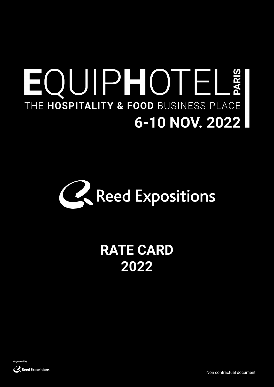# EQUIPHOTELE THE HOSPITALITY & FOOD BUSINESS PLACE 6-10 NOV. 2022



## **RATE CARD 2022**



Non contractual document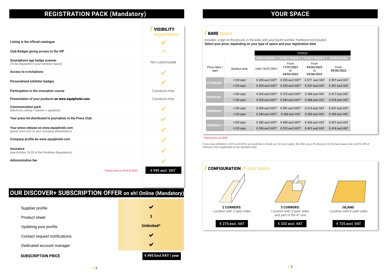### **REGISTRATION PACK (Mandatory)**

| V(         |   |
|------------|---|
| <b>OUR</b> | ۰ |

Includes: a sign on the ground, in the aisle, with your booth number. Partitions not included. Select your price: depending on your type of space and your registration date

|                                                                                           |                             | <b>VISIBILITY</b><br>registration |
|-------------------------------------------------------------------------------------------|-----------------------------|-----------------------------------|
| Listing in the official catalogue                                                         |                             |                                   |
| Club Badges giving access to the VIP                                                      |                             | 10                                |
| Smartphone app badge scanner<br>(To be requested in your exhibitor space)                 |                             | Non customizable                  |
| <b>Access to e-invitations</b>                                                            |                             |                                   |
| <b>Personalised exhibitor badges</b>                                                      |                             |                                   |
| Participation in the innovation course                                                    |                             | 3 products max.                   |
| Presentation of your products on www.equiphotel.com                                       |                             | 3 products max.                   |
| <b>Communication pack</b><br>(electronic stamp + banner + signature)                      |                             |                                   |
| Your press kit distributed to journalists in the Press Club                               |                             |                                   |
| Your press release on www.equiphotel.com<br>(press room and on your company presentation) |                             |                                   |
| Company profile on www.equiphotel.com                                                     |                             |                                   |
| Insurance<br>(see Articles 18-20 of the Exhibition Regulations)                           |                             |                                   |
| <b>Administration fee</b>                                                                 |                             |                                   |
|                                                                                           | * Same price as 2018 & 2020 | € 995 excl. VAT                   |

|                      |              | <b>PERIOD</b>       |                                        |                                        |                    |  |  |
|----------------------|--------------|---------------------|----------------------------------------|----------------------------------------|--------------------|--|--|
|                      |              | <b>EARLY BOOK 1</b> | <b>EARLY BOOK 2</b>                    | <b>EARLY BOOK 3</b>                    | <b>OVER RATES</b>  |  |  |
| Price rates /<br>sqm | Surface area | Until 16/07/2021    | From<br>17/07/2021<br>to<br>04/02/2022 | From<br>04/02/2022<br>to<br>03/06/2022 | From<br>04/06/2022 |  |  |
| <b>STANDARD</b>      | $<$ 120 sqm  | € 335 excl. VAT*    | € 355 excl. VAT*                       | $\epsilon$ 377 excl.VAT                | € 397 excl. VAT    |  |  |
|                      | $>120$ sqm   | € 309 excl.VAT*     | € 329 excl. VAT*                       | $\epsilon$ 347 excl.VAT                | € 367 excl. VAT    |  |  |
|                      |              |                     |                                        |                                        |                    |  |  |
| <b>PREMIUM*</b>      | $<$ 120 sqm  | € 352 excl. VAT*    | € 373 excl. VAT*                       | € 396 excl. VAT                        | € 417 excl. VAT    |  |  |
|                      | $>120$ sqm   | € 325 excl. VAT*    | € 340 excl. VAT*                       | € 368 excl. VAT                        | € 378 excl. VAT    |  |  |
|                      |              |                     |                                        |                                        |                    |  |  |
| <b>PREMIUM**</b>     | $<$ 120 sqm  | € 369 excl. VAT*    | € 391 excl. VAT*                       | $£$ 415 excl.VAT                       | $£$ 437 excl. VAT  |  |  |
|                      | $>120$ sqm   | € 340 excl. VAT*    | € 360 excl. VAT                        | € 383 excl. VAT                        | € 399 excl. VAT    |  |  |
|                      |              |                     |                                        |                                        |                    |  |  |
| <b>PREMIUM***</b>    | $<$ 120 sqm  | € 385 excl. VAT*    | € 408 excl. VAT*                       | $\epsilon$ 434 excl. VAT               | € 457 excl. VAT    |  |  |
|                      | $>120$ sqm   | € 356 excl.VAT*     | € 370 excl. VAT*                       | € 401 excl. VAT                        | € 414 excl. VAT    |  |  |



### **SPACE**

\* Same price as 2020

If you have exhibited in 2016 and 2018, we would like to thank you for your loyalty. We offer you a 4% discount on the bare space rate until the 4th of February 2022 (applicable on the standard rate).

### **OUR DISCOVER+ SUBSCRIPTION OFFER on eh! Online (Mandatory)**

Supplier profile Product sheet Updating your profile Contact request notifications Dedicated account manager

**SUBSCRIPTION PRICE** 



### **BARE** space